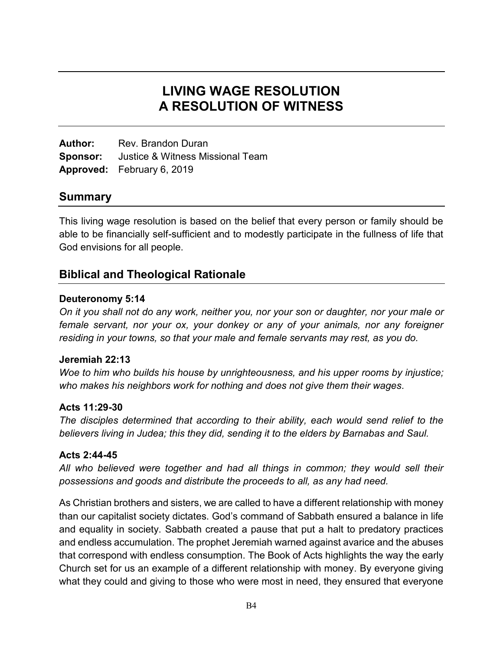# **LIVING WAGE RESOLUTION A RESOLUTION OF WITNESS**

**Author:** Rev. Brandon Duran **Sponsor:** Justice & Witness Missional Team **Approved:** February 6, 2019

### **Summary**

This living wage resolution is based on the belief that every person or family should be able to be financially self-sufficient and to modestly participate in the fullness of life that God envisions for all people.

## **Biblical and Theological Rationale**

#### **Deuteronomy 5:14**

*On it you shall not do any work, neither you, nor your son or daughter, nor your male or female servant, nor your ox, your donkey or any of your animals, nor any foreigner residing in your towns, so that your male and female servants may rest, as you do.*

#### **Jeremiah 22:13**

*Woe to him who builds his house by unrighteousness, and his upper rooms by injustice; who makes his neighbors work for nothing and does not give them their wages.*

#### **Acts 11:29-30**

*The disciples determined that according to their ability, each would send relief to the believers living in Judea; this they did, sending it to the elders by Barnabas and Saul.*

#### **Acts 2:44-45**

*All who believed were together and had all things in common; they would sell their possessions and goods and distribute the proceeds to all, as any had need.*

As Christian brothers and sisters, we are called to have a different relationship with money than our capitalist society dictates. God's command of Sabbath ensured a balance in life and equality in society. Sabbath created a pause that put a halt to predatory practices and endless accumulation. The prophet Jeremiah warned against avarice and the abuses that correspond with endless consumption. The Book of Acts highlights the way the early Church set for us an example of a different relationship with money. By everyone giving what they could and giving to those who were most in need, they ensured that everyone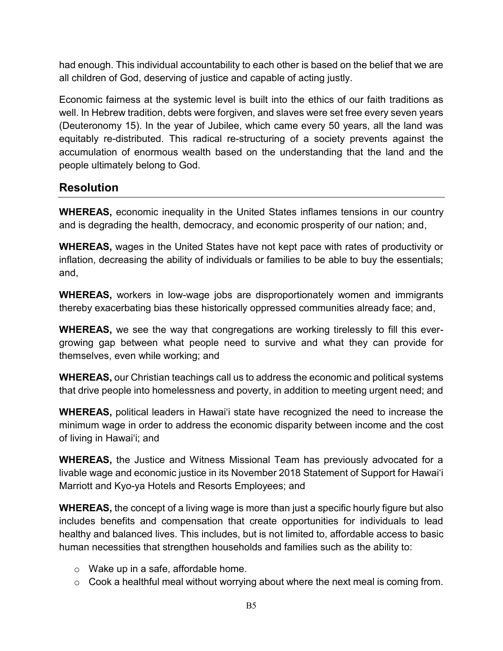had enough. This individual accountability to each other is based on the belief that we are all children of God, deserving of justice and capable of acting justly.

Economic fairness at the systemic level is built into the ethics of our faith traditions as well. In Hebrew tradition, debts were forgiven, and slaves were set free every seven years (Deuteronomy 15). In the year of Jubilee, which came every 50 years, all the land was equitably re-distributed. This radical re-structuring of a society prevents against the accumulation of enormous wealth based on the understanding that the land and the people ultimately belong to God.

## **Resolution**

**WHEREAS,** economic inequality in the United States inflames tensions in our country and is degrading the health, democracy, and economic prosperity of our nation; and,

**WHEREAS,** wages in the United States have not kept pace with rates of productivity or inflation, decreasing the ability of individuals or families to be able to buy the essentials; and,

**WHEREAS,** workers in low-wage jobs are disproportionately women and immigrants thereby exacerbating bias these historically oppressed communities already face; and,

**WHEREAS,** we see the way that congregations are working tirelessly to fill this evergrowing gap between what people need to survive and what they can provide for themselves, even while working; and

**WHEREAS,** our Christian teachings call us to address the economic and political systems that drive people into homelessness and poverty, in addition to meeting urgent need; and

**WHEREAS,** political leaders in Hawai'i state have recognized the need to increase the minimum wage in order to address the economic disparity between income and the cost of living in Hawai'i; and

**WHEREAS,** the Justice and Witness Missional Team has previously advocated for a livable wage and economic justice in its November 2018 Statement of Support for Hawaiʻi Marriott and Kyo-ya Hotels and Resorts Employees; and

**WHEREAS,** the concept of a living wage is more than just a specific hourly figure but also includes benefits and compensation that create opportunities for individuals to lead healthy and balanced lives. This includes, but is not limited to, affordable access to basic human necessities that strengthen households and families such as the ability to:

- o Wake up in a safe, affordable home.
- $\circ$  Cook a healthful meal without worrying about where the next meal is coming from.